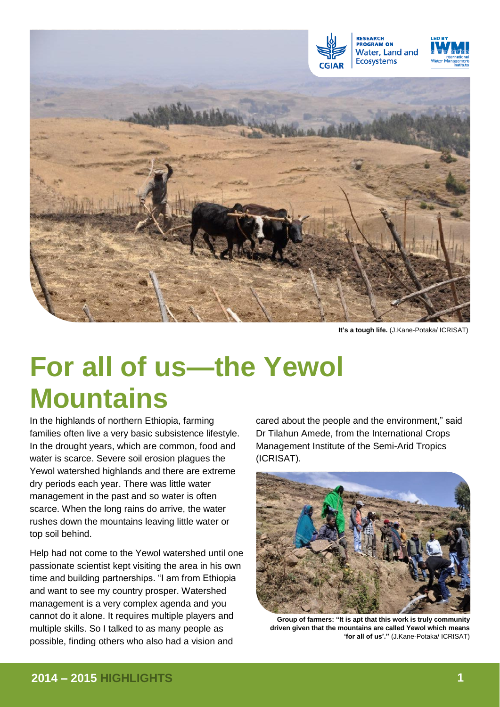

**It's a tough life.** (J.Kane-Potaka/ ICRISAT)

# **For all of us—the Yewol Mountains**

In the highlands of northern Ethiopia, farming families often live a very basic subsistence lifestyle. In the drought years, which are common, food and water is scarce. Severe soil erosion plagues the Yewol watershed highlands and there are extreme dry periods each year. There was little water management in the past and so water is often scarce. When the long rains do arrive, the water rushes down the mountains leaving little water or top soil behind.

Help had not come to the Yewol watershed until one passionate scientist kept visiting the area in his own time and building partnerships. "I am from Ethiopia and want to see my country prosper. Watershed management is a very complex agenda and you cannot do it alone. It requires multiple players and multiple skills. So I talked to as many people as possible, finding others who also had a vision and

cared about the people and the environment," said Dr Tilahun Amede, from the International Crops Management Institute of the Semi-Arid Tropics (ICRISAT).



**Group of farmers: "It is apt that this work is truly community driven given that the mountains are called Yewol which means 'for all of us'."** (J.Kane-Potaka/ ICRISAT)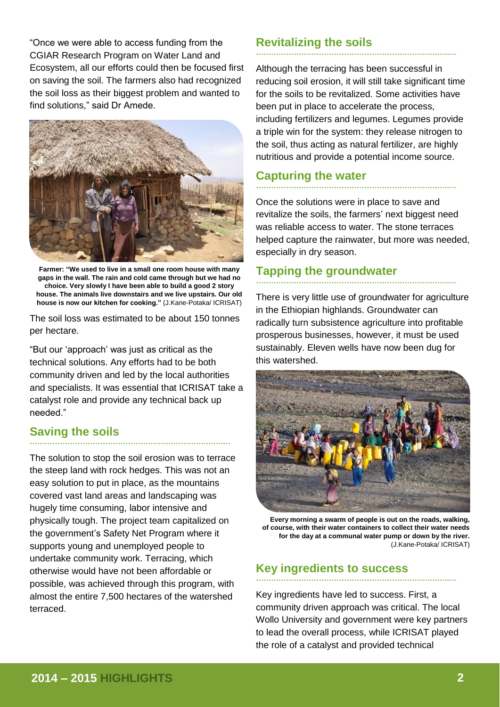"Once we were able to access funding from the CGIAR Research Program on Water Land and Ecosystem, all our efforts could then be focused first on saving the soil. The farmers also had recognized the soil loss as their biggest problem and wanted to find solutions," said Dr Amede.



**Farmer: "We used to live in a small one room house with many gaps in the wall. The rain and cold came through but we had no choice. Very slowly I have been able to build a good 2 story house. The animals live downstairs and we live upstairs. Our old house is now our kitchen for cooking."** (J.Kane-Potaka/ ICRISAT)

The soil loss was estimated to be about 150 tonnes per hectare.

"But our 'approach' was just as critical as the technical solutions. Any efforts had to be both community driven and led by the local authorities and specialists. It was essential that ICRISAT take a catalyst role and provide any technical back up needed."

# **Saving the soils ……………………………………………………………….….…**

The solution to stop the soil erosion was to terrace the steep land with rock hedges. This was not an easy solution to put in place, as the mountains covered vast land areas and landscaping was hugely time consuming, labor intensive and physically tough. The project team capitalized on the government's Safety Net Program where it supports young and unemployed people to undertake community work. Terracing, which otherwise would have not been affordable or possible, was achieved through this program, with almost the entire 7,500 hectares of the watershed terraced.

# **Revitalizing the soils ……………………………………………………………….….…**

Although the terracing has been successful in reducing soil erosion, it will still take significant time for the soils to be revitalized. Some activities have been put in place to accelerate the process, including fertilizers and legumes. Legumes provide a triple win for the system: they release nitrogen to the soil, thus acting as natural fertilizer, are highly nutritious and provide a potential income source.

# **Capturing the water ……………………………………………………………….….…**

Once the solutions were in place to save and revitalize the soils, the farmers' next biggest need was reliable access to water. The stone terraces helped capture the rainwater, but more was needed, especially in dry season.

#### **Tapping the groundwater ……………………………………………………………….….…**

There is very little use of groundwater for agriculture in the Ethiopian highlands. Groundwater can radically turn subsistence agriculture into profitable prosperous businesses, however, it must be used sustainably. Eleven wells have now been dug for this watershed.



**Every morning a swarm of people is out on the roads, walking, of course, with their water containers to collect their water needs for the day at a communal water pump or down by the river.** (J.Kane-Potaka/ ICRISAT)

### **Key ingredients to success ……………………………………………………………….….…**

Key ingredients have led to success. First, a community driven approach was critical. The local Wollo University and government were key partners to lead the overall process, while ICRISAT played the role of a catalyst and provided technical